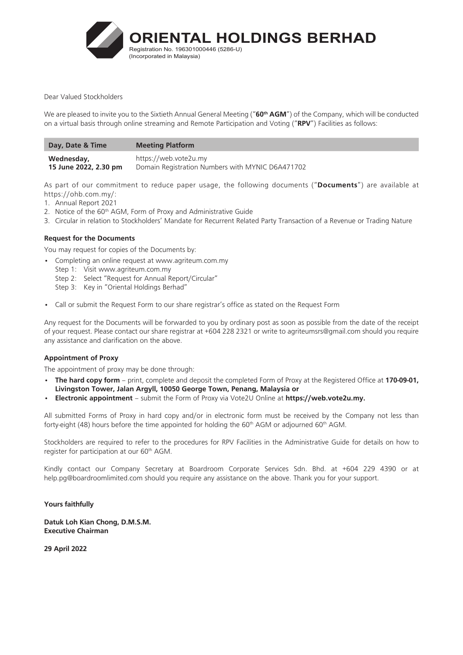

#### Dear Valued Stockholders

We are pleased to invite you to the Sixtieth Annual General Meeting ("**60th AGM**") of the Company, which will be conducted on a virtual basis through online streaming and Remote Participation and Voting ("**RPV**") Facilities as follows:

| Day, Date & Time      | <b>Meeting Platform</b>                          |
|-----------------------|--------------------------------------------------|
| Wednesday,            | https://web.vote2u.my                            |
| 15 June 2022, 2.30 pm | Domain Registration Numbers with MYNIC D6A471702 |

As part of our commitment to reduce paper usage, the following documents ("**Documents**") are available at https://ohb.com.my/:

- 1. Annual Report 2021
- 2. Notice of the 60<sup>th</sup> AGM, Form of Proxy and Administrative Guide
- 3. Circular in relation to Stockholders' Mandate for Recurrent Related Party Transaction of a Revenue or Trading Nature

## **Request for the Documents**

You may request for copies of the Documents by:

- Completing an online request at www.agriteum.com.my
	- Step 1: Visit www.agriteum.com.my
	- Step 2: Select "Request for Annual Report/Circular"
	- Step 3: Key in "Oriental Holdings Berhad"
- Call or submit the Request Form to our share registrar's office as stated on the Request Form

Any request for the Documents will be forwarded to you by ordinary post as soon as possible from the date of the receipt of your request. Please contact our share registrar at +604 228 2321 or write to agriteumsrs@gmail.com should you require any assistance and clarification on the above.

## **Appointment of Proxy**

The appointment of proxy may be done through:

- **The hard copy form** print, complete and deposit the completed Form of Proxy at the Registered Office at **170-09-01**. **Livingston Tower, Jalan Argyll, 10050 George Town, Penang, Malaysia or**
- **Electronic appointment** submit the Form of Proxy via Vote2U Online at **https://web.vote2u.my.**

All submitted Forms of Proxy in hard copy and/or in electronic form must be received by the Company not less than forty-eight (48) hours before the time appointed for holding the 60<sup>th</sup> AGM or adjourned 60<sup>th</sup> AGM.

Stockholders are required to refer to the procedures for RPV Facilities in the Administrative Guide for details on how to register for participation at our 60<sup>th</sup> AGM.

Kindly contact our Company Secretary at Boardroom Corporate Services Sdn. Bhd. at +604 229 4390 or at help.pg@boardroomlimited.com should you require any assistance on the above. Thank you for your support.

#### **Yours faithfully**

**Datuk Loh Kian Chong, D.M.S.M. Executive Chairman**

**29 April 2022**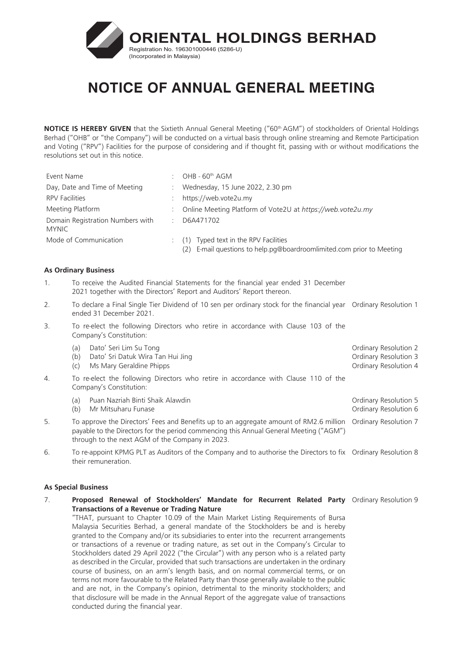

**NOTICE IS HEREBY GIVEN** that the Sixtieth Annual General Meeting ("60<sup>th</sup> AGM") of stockholders of Oriental Holdings Berhad ("OHB" or "the Company") will be conducted on a virtual basis through online streaming and Remote Participation and Voting ("RPV") Facilities for the purpose of considering and if thought fit, passing with or without modifications the resolutions set out in this notice.

| Event Name                                       |   | OHB - $60th$ AGM                                                                                                   |
|--------------------------------------------------|---|--------------------------------------------------------------------------------------------------------------------|
| Day, Date and Time of Meeting                    |   | Wednesday, 15 June 2022, 2.30 pm                                                                                   |
| <b>RPV Facilities</b>                            |   | https://web.vote2u.my                                                                                              |
| Meeting Platform                                 |   | Online Meeting Platform of Vote2U at https://web.vote2u.my                                                         |
| Domain Registration Numbers with<br><b>MYNIC</b> | ÷ | D6A471702                                                                                                          |
| Mode of Communication                            |   | Typed text in the RPV Facilities<br>(1)<br>E-mail questions to help.pg@boardroomlimited.com prior to Meeting<br>2) |

## **As Ordinary Business**

- 1. To receive the Audited Financial Statements for the financial year ended 31 December 2021 together with the Directors' Report and Auditors' Report thereon.
- 2. To declare a Final Single Tier Dividend of 10 sen per ordinary stock for the financial year Ordinary Resolution 1 ended 31 December 2021.
- 3. To re-elect the following Directors who retire in accordance with Clause 103 of the Company's Constitution:

|    | Dato' Seri Lim Su Tong<br>(a<br>Dato' Sri Datuk Wira Tan Hui Jing<br>(b)<br>Ms Mary Geraldine Phipps<br>(C)    | Ordinary Resolution 2<br>Ordinary Resolution 3<br>Ordinary Resolution 4 |
|----|----------------------------------------------------------------------------------------------------------------|-------------------------------------------------------------------------|
| 4. | To re-elect the following Directors who retire in accordance with Clause 110 of the<br>Company's Constitution: |                                                                         |
|    | Puan Nazriah Binti Shaik Alawdin<br>(a)<br>Mr Mitsuharu Funase<br>(b)                                          | Ordinary Resolution 5<br>Ordinary Resolution 6                          |

- 5. To approve the Directors' Fees and Benefits up to an aggregate amount of RM2.6 million Ordinary Resolution 7 payable to the Directors for the period commencing this Annual General Meeting ("AGM") through to the next AGM of the Company in 2023.
- 6. To re-appoint KPMG PLT as Auditors of the Company and to authorise the Directors to fix Ordinary Resolution 8 their remuneration.

#### **As Special Business**

7. **Proposed Renewal of Stockholders' Mandate for Recurrent Related Party**  Ordinary Resolution 9**Transactions of a Revenue or Trading Nature**

"THAT, pursuant to Chapter 10.09 of the Main Market Listing Requirements of Bursa Malaysia Securities Berhad, a general mandate of the Stockholders be and is hereby granted to the Company and/or its subsidiaries to enter into the recurrent arrangements or transactions of a revenue or trading nature, as set out in the Company's Circular to Stockholders dated 29 April 2022 ("the Circular") with any person who is a related party as described in the Circular, provided that such transactions are undertaken in the ordinary course of business, on an arm's length basis, and on normal commercial terms, or on terms not more favourable to the Related Party than those generally available to the public and are not, in the Company's opinion, detrimental to the minority stockholders; and that disclosure will be made in the Annual Report of the aggregate value of transactions conducted during the financial year.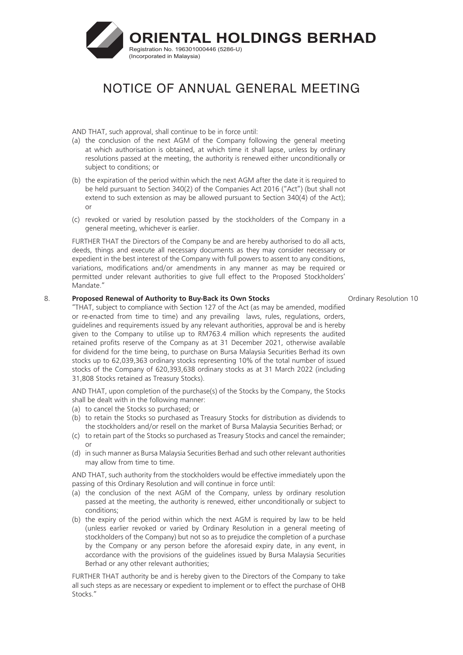

AND THAT, such approval, shall continue to be in force until:

- (a) the conclusion of the next AGM of the Company following the general meeting at which authorisation is obtained, at which time it shall lapse, unless by ordinary resolutions passed at the meeting, the authority is renewed either unconditionally or subject to conditions; or
- (b) the expiration of the period within which the next AGM after the date it is required to be held pursuant to Section 340(2) of the Companies Act 2016 ("Act") (but shall not extend to such extension as may be allowed pursuant to Section 340(4) of the Act); or
- (c) revoked or varied by resolution passed by the stockholders of the Company in a general meeting, whichever is earlier.

FURTHER THAT the Directors of the Company be and are hereby authorised to do all acts, deeds, things and execute all necessary documents as they may consider necessary or expedient in the best interest of the Company with full powers to assent to any conditions, variations, modifications and/or amendments in any manner as may be required or permitted under relevant authorities to give full effect to the Proposed Stockholders' Mandate."

#### 8. **Proposed Renewal of Authority to Buy-Back its Own Stocks**

"THAT, subject to compliance with Section 127 of the Act (as may be amended, modified or re-enacted from time to time) and any prevailing laws, rules, regulations, orders, guidelines and requirements issued by any relevant authorities, approval be and is hereby given to the Company to utilise up to RM763.4 million which represents the audited retained profits reserve of the Company as at 31 December 2021, otherwise available for dividend for the time being, to purchase on Bursa Malaysia Securities Berhad its own stocks up to 62,039,363 ordinary stocks representing 10% of the total number of issued stocks of the Company of 620,393,638 ordinary stocks as at 31 March 2022 (including 31,808 Stocks retained as Treasury Stocks).

AND THAT, upon completion of the purchase(s) of the Stocks by the Company, the Stocks shall be dealt with in the following manner:

- (a) to cancel the Stocks so purchased; or
- (b) to retain the Stocks so purchased as Treasury Stocks for distribution as dividends to the stockholders and/or resell on the market of Bursa Malaysia Securities Berhad; or
- (c) to retain part of the Stocks so purchased as Treasury Stocks and cancel the remainder; or
- (d) in such manner as Bursa Malaysia Securities Berhad and such other relevant authorities may allow from time to time.

AND THAT, such authority from the stockholders would be effective immediately upon the passing of this Ordinary Resolution and will continue in force until:

- (a) the conclusion of the next AGM of the Company, unless by ordinary resolution passed at the meeting, the authority is renewed, either unconditionally or subject to conditions;
- (b) the expiry of the period within which the next AGM is required by law to be held (unless earlier revoked or varied by Ordinary Resolution in a general meeting of stockholders of the Company) but not so as to prejudice the completion of a purchase by the Company or any person before the aforesaid expiry date, in any event, in accordance with the provisions of the guidelines issued by Bursa Malaysia Securities Berhad or any other relevant authorities;

FURTHER THAT authority be and is hereby given to the Directors of the Company to take all such steps as are necessary or expedient to implement or to effect the purchase of OHB Stocks."

Ordinary Resolution 10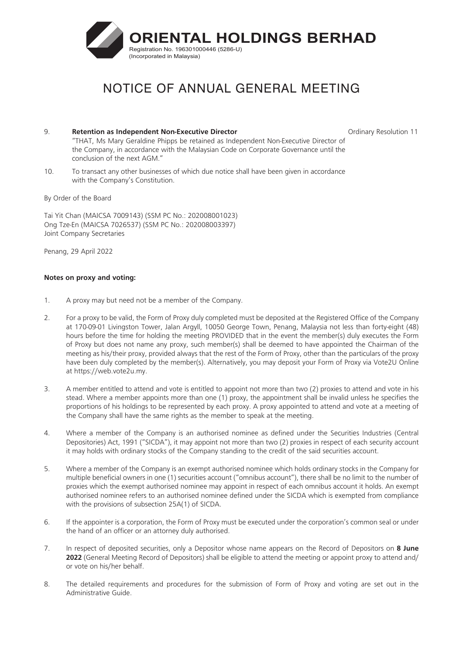

- 9. **Retention as Independent Non-Executive Director** "THAT, Ms Mary Geraldine Phipps be retained as Independent Non-Executive Director of the Company, in accordance with the Malaysian Code on Corporate Governance until the conclusion of the next AGM."
- 10. To transact any other businesses of which due notice shall have been given in accordance with the Company's Constitution.

By Order of the Board

Tai Yit Chan (MAICSA 7009143) (SSM PC No.: 202008001023) Ong Tze-En (MAICSA 7026537) (SSM PC No.: 202008003397) Joint Company Secretaries

Penang, 29 April 2022

# **Notes on proxy and voting:**

- 1. A proxy may but need not be a member of the Company.
- 2. For a proxy to be valid, the Form of Proxy duly completed must be deposited at the Registered Office of the Company at 170-09-01 Livingston Tower, Jalan Argyll, 10050 George Town, Penang, Malaysia not less than forty-eight (48) hours before the time for holding the meeting PROVIDED that in the event the member(s) duly executes the Form of Proxy but does not name any proxy, such member(s) shall be deemed to have appointed the Chairman of the meeting as his/their proxy, provided always that the rest of the Form of Proxy, other than the particulars of the proxy have been duly completed by the member(s). Alternatively, you may deposit your Form of Proxy via Vote2U Online at [https://web.vote2u.my.](https://web.vote2u.app)
- 3. A member entitled to attend and vote is entitled to appoint not more than two (2) proxies to attend and vote in his stead. Where a member appoints more than one (1) proxy, the appointment shall be invalid unless he specifies the proportions of his holdings to be represented by each proxy. A proxy appointed to attend and vote at a meeting of the Company shall have the same rights as the member to speak at the meeting.
- 4. Where a member of the Company is an authorised nominee as defined under the Securities Industries (Central Depositories) Act, 1991 ("SICDA"), it may appoint not more than two (2) proxies in respect of each security account it may holds with ordinary stocks of the Company standing to the credit of the said securities account.
- 5. Where a member of the Company is an exempt authorised nominee which holds ordinary stocks in the Company for multiple beneficial owners in one (1) securities account ("omnibus account"), there shall be no limit to the number of proxies which the exempt authorised nominee may appoint in respect of each omnibus account it holds. An exempt authorised nominee refers to an authorised nominee defined under the SICDA which is exempted from compliance with the provisions of subsection 25A(1) of SICDA.
- 6. If the appointer is a corporation, the Form of Proxy must be executed under the corporation's common seal or under the hand of an officer or an attorney duly authorised.
- 7. In respect of deposited securities, only a Depositor whose name appears on the Record of Depositors on **8 June 2022** (General Meeting Record of Depositors) shall be eligible to attend the meeting or appoint proxy to attend and/ or vote on his/her behalf.
- 8. The detailed requirements and procedures for the submission of Form of Proxy and voting are set out in the Administrative Guide.

Ordinary Resolution 11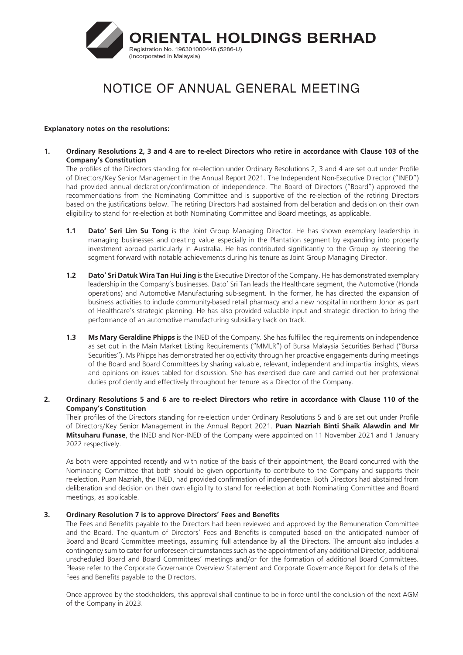

#### **Explanatory notes on the resolutions:**

**1. Ordinary Resolutions 2, 3 and 4 are to re-elect Directors who retire in accordance with Clause 103 of the Company's Constitution**

The profiles of the Directors standing for re-election under Ordinary Resolutions 2, 3 and 4 are set out under Profile of Directors/Key Senior Management in the Annual Report 2021. The Independent Non-Executive Director ("INED") had provided annual declaration/confirmation of independence. The Board of Directors ("Board") approved the recommendations from the Nominating Committee and is supportive of the re-election of the retiring Directors based on the justifications below. The retiring Directors had abstained from deliberation and decision on their own eligibility to stand for re-election at both Nominating Committee and Board meetings, as applicable.

- **1.1 Dato' Seri Lim Su Tong** is the Joint Group Managing Director. He has shown exemplary leadership in managing businesses and creating value especially in the Plantation segment by expanding into property investment abroad particularly in Australia. He has contributed significantly to the Group by steering the segment forward with notable achievements during his tenure as Joint Group Managing Director.
- **1.2 Dato' Sri Datuk Wira Tan Hui Jing** is the Executive Director of the Company. He has demonstrated exemplary leadership in the Company's businesses. Dato' Sri Tan leads the Healthcare segment, the Automotive (Honda operations) and Automotive Manufacturing sub-segment. In the former, he has directed the expansion of business activities to include community-based retail pharmacy and a new hospital in northern Johor as part of Healthcare's strategic planning. He has also provided valuable input and strategic direction to bring the performance of an automotive manufacturing subsidiary back on track.
- **1.3 Ms Mary Geraldine Phipps** is the INED of the Company. She has fulfilled the requirements on independence as set out in the Main Market Listing Requirements ("MMLR") of Bursa Malaysia Securities Berhad ("Bursa Securities"). Ms Phipps has demonstrated her objectivity through her proactive engagements during meetings of the Board and Board Committees by sharing valuable, relevant, independent and impartial insights, views and opinions on issues tabled for discussion. She has exercised due care and carried out her professional duties proficiently and effectively throughout her tenure as a Director of the Company.

## **2. Ordinary Resolutions 5 and 6 are to re-elect Directors who retire in accordance with Clause 110 of the Company's Constitution**

Their profiles of the Directors standing for re-election under Ordinary Resolutions 5 and 6 are set out under Profile of Directors/Key Senior Management in the Annual Report 2021. **Puan Nazriah Binti Shaik Alawdin and Mr Mitsuharu Funase**, the INED and Non-INED of the Company were appointed on 11 November 2021 and 1 January 2022 respectively.

As both were appointed recently and with notice of the basis of their appointment, the Board concurred with the Nominating Committee that both should be given opportunity to contribute to the Company and supports their re-election. Puan Nazriah, the INED, had provided confirmation of independence. Both Directors had abstained from deliberation and decision on their own eligibility to stand for re-election at both Nominating Committee and Board meetings, as applicable.

## **3. Ordinary Resolution 7 is to approve Directors' Fees and Benefits**

The Fees and Benefits payable to the Directors had been reviewed and approved by the Remuneration Committee and the Board. The quantum of Directors' Fees and Benefits is computed based on the anticipated number of Board and Board Committee meetings, assuming full attendance by all the Directors. The amount also includes a contingency sum to cater for unforeseen circumstances such as the appointment of any additional Director, additional unscheduled Board and Board Committees' meetings and/or for the formation of additional Board Committees. Please refer to the Corporate Governance Overview Statement and Corporate Governance Report for details of the Fees and Benefits payable to the Directors.

Once approved by the stockholders, this approval shall continue to be in force until the conclusion of the next AGM of the Company in 2023.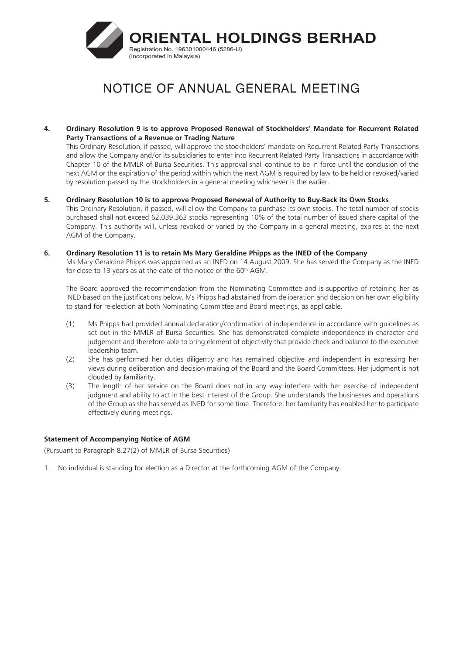

**4. Ordinary Resolution 9 is to approve Proposed Renewal of Stockholders' Mandate for Recurrent Related Party Transactions of a Revenue or Trading Nature**

This Ordinary Resolution, if passed, will approve the stockholders' mandate on Recurrent Related Party Transactions and allow the Company and/or its subsidiaries to enter into Recurrent Related Party Transactions in accordance with Chapter 10 of the MMLR of Bursa Securities. This approval shall continue to be in force until the conclusion of the next AGM or the expiration of the period within which the next AGM is required by law to be held or revoked/varied by resolution passed by the stockholders in a general meeting whichever is the earlier.

- **5. Ordinary Resolution 10 is to approve Proposed Renewal of Authority to Buy-Back its Own Stocks** This Ordinary Resolution, if passed, will allow the Company to purchase its own stocks. The total number of stocks purchased shall not exceed 62,039,363 stocks representing 10% of the total number of issued share capital of the Company. This authority will, unless revoked or varied by the Company in a general meeting, expires at the next AGM of the Company.
- **6. Ordinary Resolution 11 is to retain Ms Mary Geraldine Phipps as the INED of the Company**

Ms Mary Geraldine Phipps was appointed as an INED on 14 August 2009. She has served the Company as the INED for close to 13 years as at the date of the notice of the 60<sup>th</sup> AGM.

The Board approved the recommendation from the Nominating Committee and is supportive of retaining her as INED based on the justifications below. Ms Phipps had abstained from deliberation and decision on her own eligibility to stand for re-election at both Nominating Committee and Board meetings, as applicable.

- (1) Ms Phipps had provided annual declaration/confirmation of independence in accordance with guidelines as set out in the MMLR of Bursa Securities. She has demonstrated complete independence in character and judgement and therefore able to bring element of objectivity that provide check and balance to the executive leadership team.
- (2) She has performed her duties diligently and has remained objective and independent in expressing her views during deliberation and decision-making of the Board and the Board Committees. Her judgment is not clouded by familiarity.
- (3) The length of her service on the Board does not in any way interfere with her exercise of independent judgment and ability to act in the best interest of the Group. She understands the businesses and operations of the Group as she has served as INED for some time. Therefore, her familiarity has enabled her to participate effectively during meetings.

## **Statement of Accompanying Notice of AGM**

(Pursuant to Paragraph 8.27(2) of MMLR of Bursa Securities)

1. No individual is standing for election as a Director at the forthcoming AGM of the Company.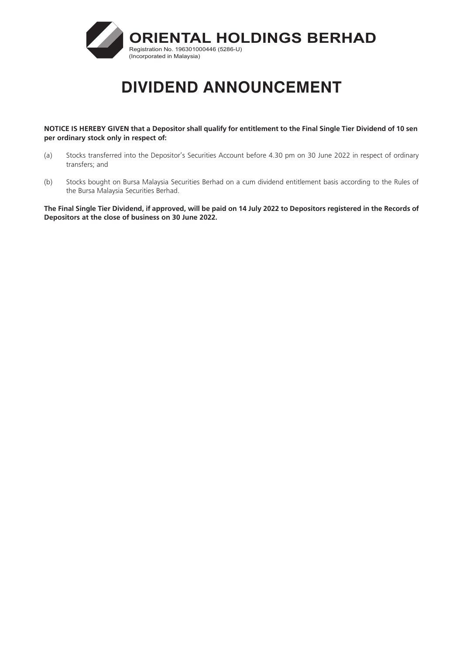

# **DIVIDEND ANNOUNCEMENT**

**NOTICE IS HEREBY GIVEN that a Depositor shall qualify for entitlement to the Final Single Tier Dividend of 10 sen per ordinary stock only in respect of:**

- (a) Stocks transferred into the Depositor's Securities Account before 4.30 pm on 30 June 2022 in respect of ordinary transfers; and
- (b) Stocks bought on Bursa Malaysia Securities Berhad on a cum dividend entitlement basis according to the Rules of the Bursa Malaysia Securities Berhad.

**The Final Single Tier Dividend, if approved, will be paid on 14 July 2022 to Depositors registered in the Records of Depositors at the close of business on 30 June 2022.**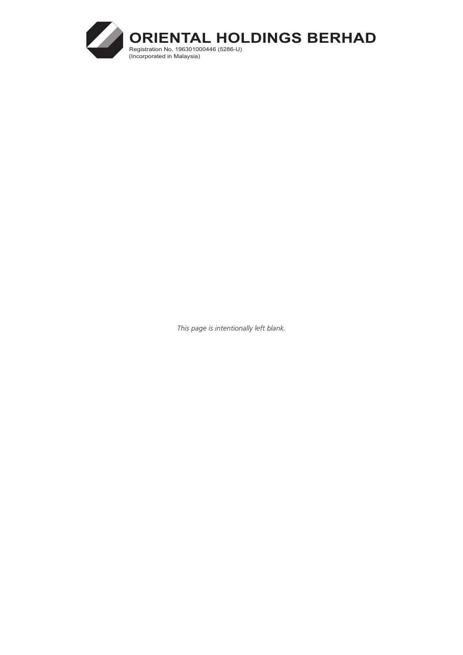

*This page is intentionally left blank.*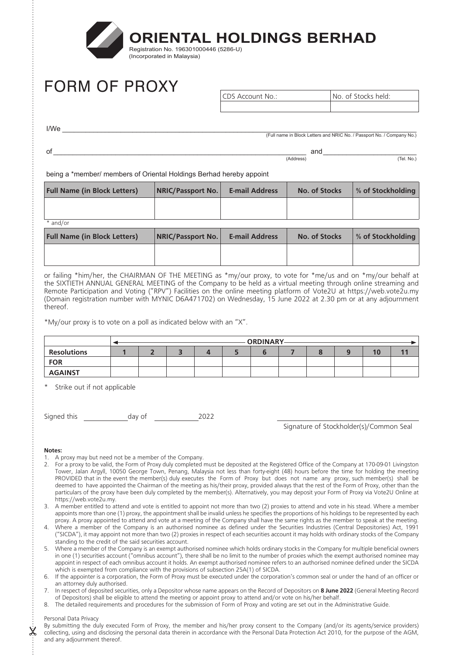

# FORM OF PROXY

CDS Account No.: No. of Stocks held:

 $I/We$   $\overline{\phantom{a}}$ (Full name in Block Letters and NRIC No. / Passport No. / Company No.)

 $\begin{array}{c}\n\text{ord} \longrightarrow \text{ord} \longrightarrow \text{ord} \longrightarrow \text{ord} \longrightarrow \text{ord} \longrightarrow \text{ord} \longrightarrow \text{ord} \longrightarrow \text{ord} \longrightarrow \text{ord} \longrightarrow \text{ord} \longrightarrow \text{ord} \longrightarrow \text{ord} \longrightarrow \text{ord} \longrightarrow \text{ord} \longrightarrow \text{ord} \longrightarrow \text{ord} \longrightarrow \text{ord} \longrightarrow \text{ord} \longrightarrow \text{ord} \longrightarrow \text{ord} \longrightarrow \text{ord} \longrightarrow \text{ord} \longrightarrow \text{ord} \longrightarrow \text{ord} \longrightarrow \text{ord} \longrightarrow \text{ord} \longrightarrow \text{ord} \longrightarrow \text{ord} \longrightarrow \text{ord} \longrightarrow \text{ord} \longrightarrow \text$  $\frac{1}{(Address)}$  and  $\frac{1}{(Address)}$ 

being a \*member/ members of Oriental Holdings Berhad hereby appoint

| <b>Full Name (in Block Letters)</b> | <b>NRIC/Passport No.</b> | <b>E-mail Address</b> | No. of Stocks | % of Stockholding |
|-------------------------------------|--------------------------|-----------------------|---------------|-------------------|
|                                     |                          |                       |               |                   |
| $*$ and/or                          |                          |                       |               |                   |

| <b>Full Name (in Block Letters)</b> | <b>NRIC/Passport No.</b> | <b>E-mail Address</b> | No. of Stocks | ∣ % of Stockholdina |
|-------------------------------------|--------------------------|-----------------------|---------------|---------------------|
|                                     |                          |                       |               |                     |

or failing \*him/her, the CHAIRMAN OF THE MEETING as \*my/our proxy, to vote for \*me/us and on \*my/our behalf at the SIXTIETH ANNUAL GENERAL MEETING of the Company to be held as a virtual meeting through online streaming and Remote Participation and Voting ("RPV") Facilities on the online meeting platform of Vote2U at https://web.vote2u.my (Domain registration number with MYNIC D6A471702) on Wednesday, 15 June 2022 at 2.30 pm or at any adjournment thereof.

\*My/our proxy is to vote on a poll as indicated below with an "X".

|                    | <b>ORDINARY-</b> |  |  |  |  |  |  |    |  |
|--------------------|------------------|--|--|--|--|--|--|----|--|
| <b>Resolutions</b> |                  |  |  |  |  |  |  | 10 |  |
| <b>FOR</b>         |                  |  |  |  |  |  |  |    |  |
| <b>AGAINST</b>     |                  |  |  |  |  |  |  |    |  |

Strike out if not applicable

Signed this day of 2022

Signature of Stockholder(s)/Common Seal

#### **Notes:**

- 1. A proxy may but need not be a member of the Company.
- 2. For a proxy to be valid, the Form of Proxy duly completed must be deposited at the Registered Office of the Company at 170-09-01 Livingston Tower, Jalan Argyll, 10050 George Town, Penang, Malaysia not less than forty-eight (48) hours before the time for holding the meeting PROVIDED that in the event the member(s) duly executes the Form of Proxy but does not name any proxy, such member(s) shall be deemed to have appointed the Chairman of the meeting as his/their proxy, provided always that the rest of the Form of Proxy, other than the particulars of the proxy have been duly completed by the member(s). Alternatively, you may deposit your Form of Proxy via Vote2U Online at https://web.vote2u.my.
- 3. A member entitled to attend and vote is entitled to appoint not more than two (2) proxies to attend and vote in his stead. Where a member appoints more than one (1) proxy, the appointment shall be invalid unless he specifies the proportions of his holdings to be represented by each proxy. A proxy appointed to attend and vote at a meeting of the Company shall have the same rights as the member to speak at the meeting.
- 4. Where a member of the Company is an authorised nominee as defined under the Securities Industries (Central Depositories) Act, 1991 ("SICDA"), it may appoint not more than two (2) proxies in respect of each securities account it may holds with ordinary stocks of the Company standing to the credit of the said securities account.
- 5. Where a member of the Company is an exempt authorised nominee which holds ordinary stocks in the Company for multiple beneficial owners in one (1) securities account ("omnibus account"), there shall be no limit to the number of proxies which the exempt authorised nominee may appoint in respect of each omnibus account it holds. An exempt authorised nominee refers to an authorised nominee defined under the SICDA which is exempted from compliance with the provisions of subsection 25A(1) of SICDA.
- 6. If the appointer is a corporation, the Form of Proxy must be executed under the corporation's common seal or under the hand of an officer or an attorney duly authorised.
- 7. In respect of deposited securities, only a Depositor whose name appears on the Record of Depositors on **8 June 2022** (General Meeting Record of Depositors) shall be eligible to attend the meeting or appoint proxy to attend and/or vote on his/her behalf.
- 8. The detailed requirements and procedures for the submission of Form of Proxy and voting are set out in the Administrative Guide.

#### Personal Data Privacy

By submitting the duly executed Form of Proxy, the member and his/her proxy consent to the Company (and/or its agents/service providers) collecting, using and disclosing the personal data therein in accordance with the Personal Data Protection Act 2010, for the purpose of the AGM, and any adjournment thereof.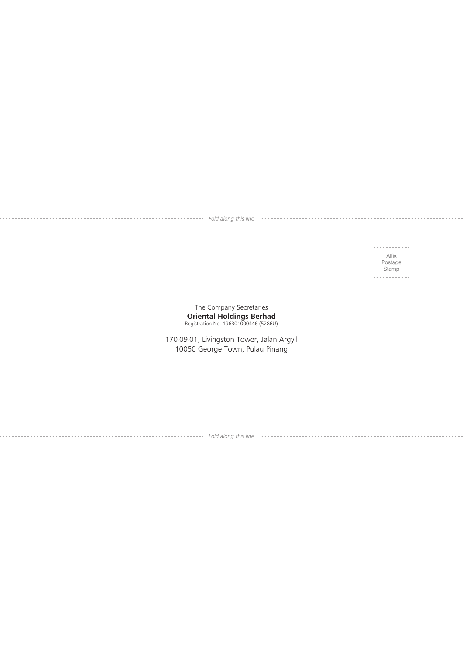*Fold along this line*

Affix Postage **Stamp** 

The Company Secretaries **Oriental Holdings Berhad** Registration No. 196301000446 (5286U)

170-09-01, Livingston Tower, Jalan Argyll 10050 George Town, Pulau Pinang

*Fold along this line*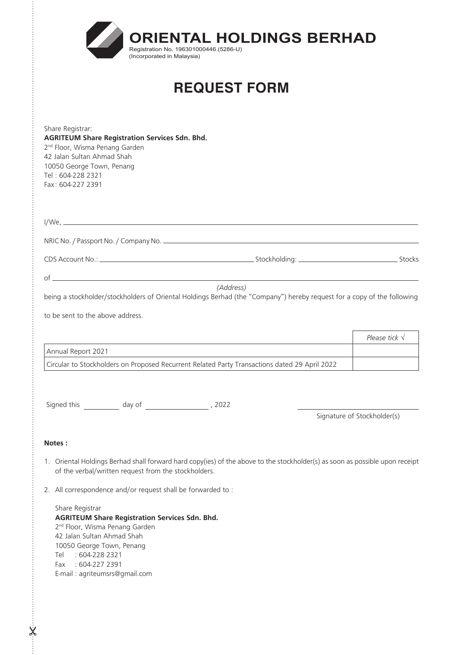| <b>ORIENTAL HOLDINGS BERHAD</b><br>Registration No. 196301000446 (5286-U)<br>(Incorporated in Malaysia)                                                                                                                                                           |                             |
|-------------------------------------------------------------------------------------------------------------------------------------------------------------------------------------------------------------------------------------------------------------------|-----------------------------|
| <b>REQUEST FORM</b>                                                                                                                                                                                                                                               |                             |
|                                                                                                                                                                                                                                                                   |                             |
| Share Registrar:<br><b>AGRITEUM Share Registration Services Sdn. Bhd.</b><br>2 <sup>nd</sup> Floor, Wisma Penang Garden<br>42 Jalan Sultan Ahmad Shah<br>10050 George Town, Penang<br>Tel: 604-228 2321<br>Fax: 604-227 2391                                      |                             |
|                                                                                                                                                                                                                                                                   |                             |
|                                                                                                                                                                                                                                                                   |                             |
|                                                                                                                                                                                                                                                                   |                             |
|                                                                                                                                                                                                                                                                   |                             |
| to be sent to the above address.                                                                                                                                                                                                                                  | Please tick $\sqrt{}$       |
| Annual Report 2021                                                                                                                                                                                                                                                |                             |
| Circular to Stockholders on Proposed Recurrent Related Party Transactions dated 29 April 2022                                                                                                                                                                     |                             |
| Signed this _____________ day of _________________________, 2022                                                                                                                                                                                                  |                             |
|                                                                                                                                                                                                                                                                   | Signature of Stockholder(s) |
| <b>Notes:</b>                                                                                                                                                                                                                                                     |                             |
| 1. Oriental Holdings Berhad shall forward hard copy(ies) of the above to the stockholder(s) as soon as possible upon receipt<br>of the verbal/written request from the stockholders.                                                                              |                             |
| 2. All correspondence and/or request shall be forwarded to:                                                                                                                                                                                                       |                             |
| Share Registrar<br><b>AGRITEUM Share Registration Services Sdn. Bhd.</b><br>2 <sup>nd</sup> Floor, Wisma Penang Garden<br>42 Jalan Sultan Ahmad Shah<br>10050 George Town, Penang<br>: 604-228 2321<br>Tel<br>Fax : 604-227 2391<br>E-mail: agriteumsrs@gmail.com |                             |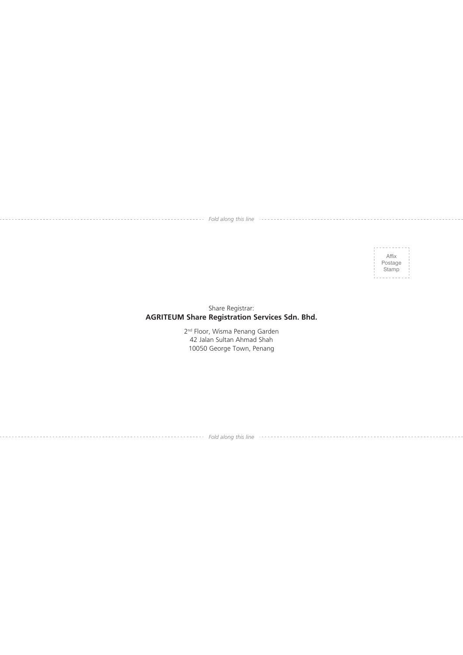*Fold along this line*

Affix Postage Stamp

# Share Registrar: **AGRITEUM Share Registration Services Sdn. Bhd.**

2<sup>nd</sup> Floor, Wisma Penang Garden 42 Jalan Sultan Ahmad Shah 10050 George Town, Penang

*Fold along this line*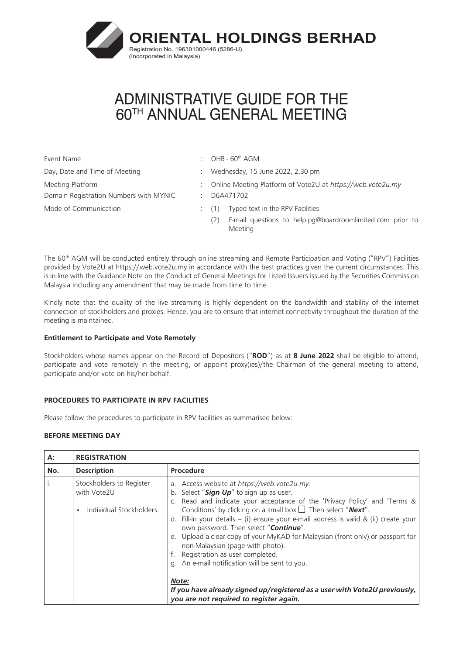

Event Name  $\qquad \qquad : \qquad \text{OHB - 60}^{\text{th}} \text{ AGM}$ Day, Date and Time of Meeting in the state of Wednesday, 15 June 2022, 2.30 pm Meeting Platform Domain Registration Numbers with MYNIC Mode of Communication  $(1)$  Typed text in the RPV Facilities

:

: D6A471702 Online Meeting Platform of Vote2U at *<https://web.vote2u.my>*

- 
- (2) E-mail questions to help[.pg@boardroomlimited.com](mailto:pg@boardroomlimited.com) prior to Meeting

The 60<sup>th</sup> AGM will be conducted entirely through online streaming and Remote Participation and Voting ("RPV") Facilities provided by Vote2U at <https://web.vote2u.my> in accordance with the best practices given the current circumstances. This is in line with the Guidance Note on the Conduct of General Meetings for Listed Issuers issued by the Securities Commission Malaysia including any amendment that may be made from time to time.

Kindly note that the quality of the live streaming is highly dependent on the bandwidth and stability of the internet connection of stockholders and proxies. Hence, you are to ensure that internet connectivity throughout the duration of the meeting is maintained.

# **Entitlement to Participate and Vote Remotely**

Stockholders whose names appear on the Record of Depositors ("**ROD**") as at **8 June 2022** shall be eligible to attend, participate and vote remotely in the meeting, or appoint proxy(ies)/the Chairman of the general meeting to attend, participate and/or vote on his/her behalf.

# **PROCEDURES TO PARTICIPATE IN RPV FACILITIES**

Please follow the procedures to participate in RPV facilities as summarised below:

## **BEFORE MEETING DAY**

| А:  | <b>REGISTRATION</b>                                                |                                                                                                                                                                                                                                                                                                                                                                                                                                                                                                                                                                                                                                                                                                                              |
|-----|--------------------------------------------------------------------|------------------------------------------------------------------------------------------------------------------------------------------------------------------------------------------------------------------------------------------------------------------------------------------------------------------------------------------------------------------------------------------------------------------------------------------------------------------------------------------------------------------------------------------------------------------------------------------------------------------------------------------------------------------------------------------------------------------------------|
| No. | <b>Description</b>                                                 | Procedure                                                                                                                                                                                                                                                                                                                                                                                                                                                                                                                                                                                                                                                                                                                    |
|     | Stockholders to Register<br>with Vote2U<br>Individual Stockholders | a. Access website at https://web.vote2u.my.<br>b. Select "Sign Up" to sign up as user.<br>c. Read and indicate your acceptance of the 'Privacy Policy' and 'Terms &<br>Conditions' by clicking on a small box $\Box$ . Then select "Next".<br>d. Fill-in your details - (i) ensure your e-mail address is valid & (ii) create your<br>own password. Then select "Continue".<br>e. Upload a clear copy of your MyKAD for Malaysian (front only) or passport for<br>non-Malaysian (page with photo).<br>f. Registration as user completed.<br>g. An e-mail notification will be sent to you.<br>Note:<br>If you have already signed up/registered as a user with Vote2U previously,<br>you are not required to register again. |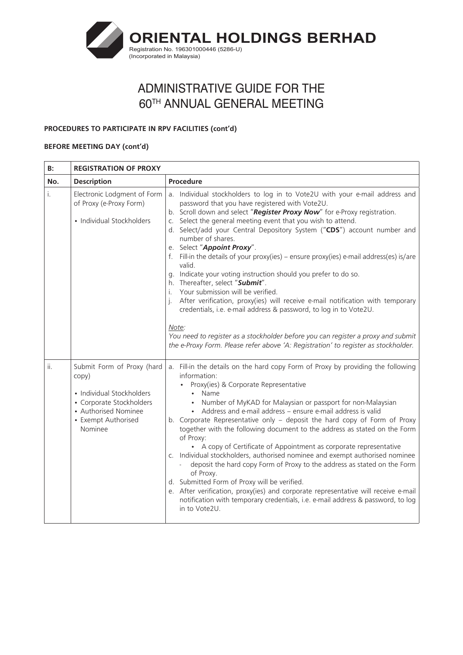

# **PROCEDURES TO PARTICIPATE IN RPV FACILITIES (cont'd)**

## **BEFORE MEETING DAY (cont'd)**

| B:  | <b>REGISTRATION OF PROXY</b>                                                                                                                           |                                                                                                                                                                                                                                                                                                                                                                                                                                                                                                                                                                                                                                                                                                                                                                                                                                                                                                                                                         |  |
|-----|--------------------------------------------------------------------------------------------------------------------------------------------------------|---------------------------------------------------------------------------------------------------------------------------------------------------------------------------------------------------------------------------------------------------------------------------------------------------------------------------------------------------------------------------------------------------------------------------------------------------------------------------------------------------------------------------------------------------------------------------------------------------------------------------------------------------------------------------------------------------------------------------------------------------------------------------------------------------------------------------------------------------------------------------------------------------------------------------------------------------------|--|
| No. | <b>Description</b>                                                                                                                                     | Procedure                                                                                                                                                                                                                                                                                                                                                                                                                                                                                                                                                                                                                                                                                                                                                                                                                                                                                                                                               |  |
| i.  | Electronic Lodgment of Form<br>of Proxy (e-Proxy Form)<br>• Individual Stockholders                                                                    | a. Individual stockholders to log in to Vote2U with your e-mail address and<br>password that you have registered with Vote2U.<br>b. Scroll down and select "Register Proxy Now" for e-Proxy registration.<br>c. Select the general meeting event that you wish to attend.<br>d. Select/add your Central Depository System ("CDS") account number and<br>number of shares.<br>e. Select "Appoint Proxy".<br>f. Fill-in the details of your proxy(ies) - ensure proxy(ies) e-mail address(es) is/are<br>valid.<br>g. Indicate your voting instruction should you prefer to do so.<br>h. Thereafter, select "Submit".<br>i. Your submission will be verified.<br>j. After verification, proxy(ies) will receive e-mail notification with temporary<br>credentials, i.e. e-mail address & password, to log in to Vote2U.<br>Note:                                                                                                                           |  |
|     |                                                                                                                                                        | You need to register as a stockholder before you can register a proxy and submit<br>the e-Proxy Form. Please refer above 'A: Registration' to register as stockholder.                                                                                                                                                                                                                                                                                                                                                                                                                                                                                                                                                                                                                                                                                                                                                                                  |  |
| ii. | Submit Form of Proxy (hard<br>copy)<br>• Individual Stockholders<br>• Corporate Stockholders<br>• Authorised Nominee<br>• Exempt Authorised<br>Nominee | a. Fill-in the details on the hard copy Form of Proxy by providing the following<br>information:<br>• Proxy(ies) & Corporate Representative<br>• Name<br>• Number of MyKAD for Malaysian or passport for non-Malaysian<br>• Address and e-mail address – ensure e-mail address is valid<br>b. Corporate Representative only - deposit the hard copy of Form of Proxy<br>together with the following document to the address as stated on the Form<br>of Proxy:<br>• A copy of Certificate of Appointment as corporate representative<br>c. Individual stockholders, authorised nominee and exempt authorised nominee<br>deposit the hard copy Form of Proxy to the address as stated on the Form<br>of Proxy.<br>d. Submitted Form of Proxy will be verified.<br>e. After verification, proxy(ies) and corporate representative will receive e-mail<br>notification with temporary credentials, i.e. e-mail address & password, to log<br>in to Vote2U. |  |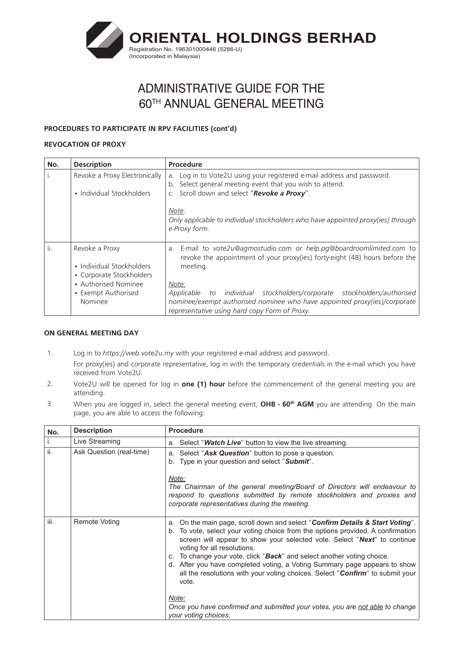

## **PROCEDURES TO PARTICIPATE IN RPV FACILITIES (cont'd)**

## **REVOCATION OF PROXY**

| No. | <b>Description</b>                                                                                                                | <b>Procedure</b>                                                                                                                                                                                                                                                                                                                                                                      |
|-----|-----------------------------------------------------------------------------------------------------------------------------------|---------------------------------------------------------------------------------------------------------------------------------------------------------------------------------------------------------------------------------------------------------------------------------------------------------------------------------------------------------------------------------------|
|     | Revoke a Proxy Electronically<br>• Individual Stockholders                                                                        | a. Log in to Vote2U using your registered e-mail address and password.<br>b. Select general meeting event that you wish to attend.<br>Scroll down and select "Revoke a Proxy".                                                                                                                                                                                                        |
|     |                                                                                                                                   | Note:<br>Only applicable to individual stockholders who have appointed proxy(ies) through<br>e-Proxy form.                                                                                                                                                                                                                                                                            |
| ii. | Revoke a Proxy<br>• Individual Stockholders<br>• Corporate Stockholders<br>• Authorised Nominee<br>• Exempt Authorised<br>Nominee | E-mail to vote2u@agmostudio.com or help.pg@boardroomlimited.com to<br>a.<br>revoke the appointment of your proxy(ies) forty-eight (48) hours before the<br>meeting.<br>Note:<br>Applicable to individual stockholders/corporate stockholders/authorised<br>nominee/exempt authorised nominee who have appointed proxy(ies)/corporate<br>representative using hard copy Form of Proxy. |

## **ON GENERAL MEETING DAY**

- 1. Log in to *https://web.vote2u.my* with your registered e-mail address and password. For proxy(ies) and corporate representative, log in with the temporary credentials in the e-mail which you have received from Vote2U.
- 2. Vote2U will be opened for log in **one (1) hour** before the commencement of the general meeting you are attending.
- 3. When you are logged in, select the general meeting event, **OHB 60<sup>th</sup> AGM** you are attending. On the main page, you are able to access the following:

| No.  | <b>Description</b>       | <b>Procedure</b>                                                                                                                                                                                                                                                                                                                                                                                                                                                                                                                                            |
|------|--------------------------|-------------------------------------------------------------------------------------------------------------------------------------------------------------------------------------------------------------------------------------------------------------------------------------------------------------------------------------------------------------------------------------------------------------------------------------------------------------------------------------------------------------------------------------------------------------|
| i.   | Live Streaming           | a. Select " <b>Watch Live</b> " button to view the live streaming.                                                                                                                                                                                                                                                                                                                                                                                                                                                                                          |
| ii.  | Ask Question (real-time) | a. Select "Ask Question" button to pose a question.<br>b. Type in your question and select "Submit".                                                                                                                                                                                                                                                                                                                                                                                                                                                        |
|      |                          | Note:<br>The Chairman of the general meeting/Board of Directors will endeavour to<br>respond to questions submitted by remote stockholders and proxies and<br>corporate representatives during the meeting.                                                                                                                                                                                                                                                                                                                                                 |
| iii. | Remote Voting            | a. On the main page, scroll down and select " <b>Confirm Details &amp; Start Voting</b> ".<br>b. To vote, select your voting choice from the options provided. A confirmation<br>screen will appear to show your selected vote. Select "Next" to continue<br>voting for all resolutions.<br>c. To change your vote, click " <b>Back</b> " and select another voting choice.<br>d. After you have completed voting, a Voting Summary page appears to show<br>all the resolutions with your voting choices. Select "Confirm" to submit your<br>vote.<br>Note: |
|      |                          | Once you have confirmed and submitted your votes, you are not able to change<br>your voting choices.                                                                                                                                                                                                                                                                                                                                                                                                                                                        |